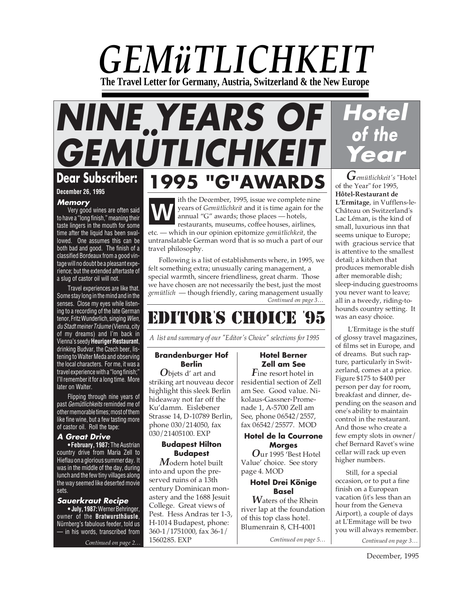# *GEMüTLICHKEIT* **The Travel Letter for Germany, Austria, Switzerland & the New Europe**

# **NINE YEARS OF GEMÜTLICHKEIT Dear Subscriber: 1995 "G"AWARDS**

**December 26, 1995**

#### **Memory**

Very good wines are often said to have a "long finish," meaning their taste lingers in the mouth for some time after the liquid has been swallowed. One assumes this can be both bad and good. The finish of a classified Bordeaux from a good vintage will no doubt be a pleasant experience; but the extended aftertaste of a slug of castor oil will not.

Travel experiences are like that. Some stay long in the mind and in the senses. Close my eyes while listening to a recording of the late German tenor, Fritz Wunderlich, singing Wien, du Stadt meiner Träume (Vienna, city of my dreams) and I'm back in Vienna's seedy **Heuriger Restaurant**, drinking Budvar, the Czech beer, listening to Walter Meda and observing the local characters. For me, it was a travel experience with a "long finish;" I'll remember it for a long time. More later on Walter.

Flipping through nine years of past Gemütlichkeits reminded me of other memorable times; most of them like fine wine, but a few tasting more of castor oil. Roll the tape:

#### **A Great Drive**

**• February, 1987:** The Austrian country drive from Maria Zell to Hieflau on a glorious summer day. It was in the middle of the day, during lunch and the few tiny villages along the way seemed like deserted movie sets.

#### **Sauerkraut Recipe**

**• July, 1987:**Werner Behringer, owner of the **Bratwursthäusle**, Nürnberg's fabulous feeder, told us in his words, transcribed from

#### ith the December, 1995, issue we complete nine years of *Gemütlichkeit* and it is time again for the annual "G" awards; those places — hotels, restaurants, museums, coffee houses, airlines, etc. — which in our opinion epitomize *gemütlichkeit*, the untranslatable German word that is so much a part of our **W**

*Continued on page 3…* travel philosophy. Following is a list of establishments where, in 1995, we felt something extra; unusually caring management, a special warmth, sincere friendliness, great charm. Those we have chosen are not necessarily the best, just the most *gemütlich* — though friendly, caring management usually

## EDITOR**'** S CHOICE **'** 95

*A list and summary of our "Editor's Choice" selections for 1995*

#### **Brandenburger Hof Berlin**

*O*bjets d' art and striking art nouveau decor highlight this sleek Berlin hideaway not far off the Ku'damm. Eislebener Strasse 14, D-10789 Berlin, phone 030/214050, fax 030/21405100. EXP

#### **Budapest Hilton Budapest**

*Continued on page 2… Continued on page 3… M*odern hotel built into and upon the preserved ruins of a 13th century Dominican monastery and the 1688 Jesuit College. Great views of Pest. Hess Andras ter 1-3, H-1014 Budapest, phone: 360-1/1751000, fax 36-1/ 1560285. EXP

## **Hotel Berner Zell am See**

*F*ine resort hotel in residential section of Zell am See. Good value. Nikolaus-Gassner-Promenade 1, A-5700 Zell am See, phone 06542/2557, fax 06542/25577. MOD

#### **Hotel de la Courrone Morges**

*O*ur 1995 'Best Hotel Value' choice. See story page 4. MOD

#### **Hotel Drei Könige Basel**

*W*aters of the Rhein river lap at the foundation of this top class hotel. Blumenrain 8, CH-4001

*Continued on page 5…*



*Gemütlichkeit's* "Hotel of the Year" for 1995, **Hôtel-Restaurant de L'Ermitage**, in Vufflens-le-Château on Switzerland's Lac Léman, is the kind of small, luxurious inn that seems unique to Europe; with gracious service that is attentive to the smallest detail; a kitchen that produces memorable dish after memorable dish; sleep-inducing guestrooms you never want to leave; all in a tweedy, riding-tohounds country setting. It was an easy choice.

 L'Ermitage is the stuff of glossy travel magazines, of films set in Europe, and of dreams. But such rapture, particularly in Switzerland, comes at a price. Figure \$175 to \$400 per person per day for room, breakfast and dinner, depending on the season and one's ability to maintain control in the restaurant. And those who create a few empty slots in owner/ chef Bernard Ravet's wine cellar will rack up even higher numbers.

Still, for a special occasion, or to put a fine finish on a European vacation (it's less than an hour from the Geneva Airport), a couple of days at L'Ermitage will be two you will always remember.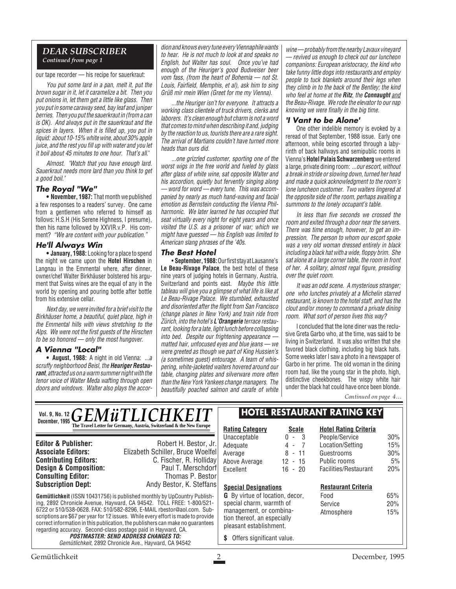#### *DEAR SUBSCRIBER Continued from page 1*

our tape recorder — his recipe for sauerkraut:

You put some lard in a pan, melt it, put the brown sugar in it, let it caramelize a bit. Then you put onions in, let them get a little like glass. Then you put in some caraway seed, bay leaf and juniper berries. Then you put the sauerkraut in (from a can is OK). And always put in the sauerkraut and the spices in layers. When it is filled up, you put in liquid: about 10-15% white wine, about 30% apple juice, and the rest you fill up with water and you let it boil about 45 minutes to one hour. That's all."

Almost. "Watch that you have enough lard. Sauerkraut needs more lard than you think to get a good boil."

#### **The Royal "We"**

**• November, 1987:** That month we published a few responses to a readers' survey. One came from a gentlemen who referred to himself as follows: H.S.H (His Serene Highness, I presume), then his name followed by XXVIR.v.P. His comment? "We are content with your publication."

#### **He'll Always Win**

**• January, 1988:** Looking for a place to spend the night we came upon the **Hotel Hirschen** in Langnau in the Emmental where, after dinner, owner/chef Walter Birkhäuser bolstered his argument that Swiss wines are the equal of any in the world by opening and pouring bottle after bottle from his extensive cellar.

Next day, we were invited for a brief visit to the Birkhäuser home, a beautiful, quiet place, high in the Emmental hills with views stretching to the Alps. We were not the first guests of the Hirschen to be so honored — only the most hungover.

#### **A Vienna "Local"**

**• August, 1988:** A night in old Vienna: ...a scruffy neighborhood Beisl, the **Heuriger Restaurant**, attracted us on a warm summer night with the tenor voice of Walter Meda wafting through open doors and windows. Walter also plays the accor-

dion and knows every tune every Viennaphile wants to hear. He is not much to look at and speaks no English, but Walter has soul. Once you've had enough of the Heuriger's good Budweiser beer vom fass, (from the heart of Bohemia — not St. Louis, Fairfield, Memphis, et al), ask him to sing Grüß mir mein Wien (Greet for me my Vienna).

...the Heuriger isn't for everyone. It attracts a working class clientele of truck drivers, clerks and laborers. It's clean enough but charm is not a word that comes to mind when describing it and, judging by the reaction to us, tourists there are a rare sight. The arrival of Martians couldn't have turned more heads than ours did.

...one grizzled customer, sporting one of the worst wigs in the free world and fueled by glass after glass of white wine, sat opposite Walter and his accordion, quietly but fervently singing along — word for word — every tune. This was accompanied by nearly as much hand-waving and facial emotion as Bernstein conducting the Vienna Philharmonic. We later learned he has occupied that seat virtually every night for eight years and once visited the U.S. as a prisoner of war; which we might have guessed — his English was limited to American slang phrases of the '40s.

#### **The Best Hotel**

• **September, 1988:**Our first stay at Lausanne's **Le Beau-Rivage Palace**, the best hotel of these nine years of judging hotels in Germany, Austria, Switzerland and points east. Maybe this little tableau will give you a glimpse of what life is like at Le Beau-Rivage Palace. We stumbled, exhausted and disoriented after the flight from San Francisco (change planes in New York) and train ride from Zürich, into the hotel's **L'Orangerie** terrace restaurant, looking for a late, light lunch before collapsing into bed. Despite our frightening appearance matted hair, unfocused eyes and blue jeans — we were greeted as though we part of King Hussien's (a sometimes guest) entourage. A team of whispering, white-jacketed waiters hovered around our table, changing plates and silverware more often than the New York Yankees change managers. The beautifully poached salmon and carafe of white wine — probably from the nearby Lavaux vineyard — revived us enough to check out our luncheon companions: European aristocracy, the kind who take funny little dogs into restaurants and employ people to tuck blankets around their legs when they climb in to the back of the Bentley; the kind who feel at home at the **Ritz**, the **Connaught** and the Beau-Rivage. We rode the elevator to our nap knowing we were finally in the big time.

#### **'I Vant to be Alone'**

One other indelible memory is evoked by a reread of that September, 1988 issue. Early one afternoon, while being escorted through a labyrinth of back hallways and semipublic rooms in Vienna's **Hotel Palais Schwarzenberg**we entered a large, private dining room: ...our escort, without a break in stride or slowing down, turned her head and made a quick acknowledgment to the room's lone luncheon customer. Two waiters lingered at the opposite side of the room, perhaps awaiting a summons to the lonely occupant's table.

In less than five seconds we crossed the room and exited through a door near the servers. There was time enough, however, to get an impression. The person to whom our escort spoke was a very old woman dressed entirely in black including a black hat with a wide, floppy brim. She sat alone at a large corner table, the room in front of her. A solitary, almost regal figure, presiding over the quiet room.

It was an odd scene. A mysterious stranger; one who lunches privately at a Michelin starred restaurant, is known to the hotel staff, and has the clout and/or money to command a private dining room. What sort of person lives this way?

I concluded that the lone diner was the reclusive Greta Garbo who, at the time, was said to be living in Switzerland. It was also written that she favored black clothing, including big black hats. Some weeks later I saw a photo in a newspaper of Garbo in her prime. The old woman in the dining room had, like the young star in the photo, high, distinctive cheekbones. The wispy white hair under the black hat could have once been blonde.

*Continued on page 4…*

#### **Gemütlichkeit** (ISSN 10431756) is published monthly by UpCountry Publishing, 2892 Chronicle Avenue, Hayward, CA 94542. TOLL FREE: 1-800/521- 6722 or 510/538-0628. FAX: 510/582-8296, E-MAIL rbestor@aol.com. Subscriptions are \$67 per year for 12 issues. While every effort is made to provide correct information in this publication, the publishers can make no guarantees regarding accuracy. Second-class postage paid in Hayward, CA. **POSTMASTER: SEND ADDRESS CHANGES TO:** Gemütlichkeit, 2892 Chronicle Ave., Hayward, CA 94542 **Editor & Publisher:** Robert H. Bestor, Jr. **Associate Editors:** Elizabeth Schiller, Bruce Woelfel **C. Fischer, R. Holliday**<br>Paul T. Merschdorf **Design & Composition:** Paul T. Merschdorf **Consulting Editor:** Paul T. Merschdorf **Consulting Editor:** Paul Thomas P. Bestor **Consulting Editor:**<br>Subscription Dept: **Subscription Dept:** Andy Bestor, K. Steffans *Vol. 9, No. 12*  $GEMWTTLICHKETT$ **The Travel Letter for Germany, Austria, Switzerland & the New Europe Rating Category Scale** Unacceptable 0 - 3<br>Adequate 4 - 7 Adequate 4 - 7<br>Average 8 - 11 Average Above Average 12 - 15 Excellent 16 - 20 **Hotel Rating Criteria** People/Service 30% Location/Setting 15% Guestrooms 30% Public rooms 5% Facilities/Restaurant 20% **Special Designations G** By virtue of location, decor, special charm, warmth of management, or combination thereof, an especially pleasant establishment. **\$** Offers significant value. **HOTEL RESTAURANT RATING KEY Restaurant Criteria** Food 65% Service 20% Atmosphere 15% **December, 1995**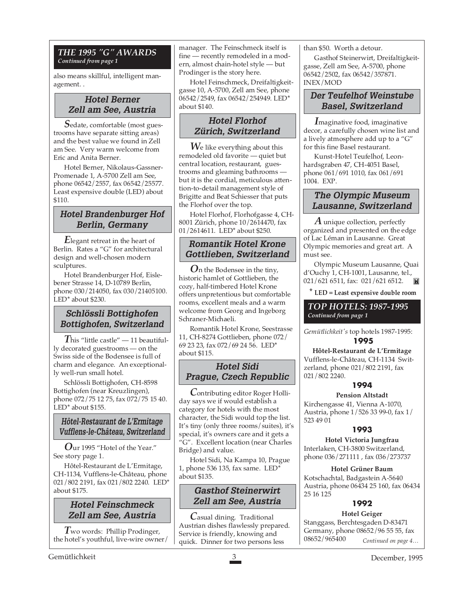#### *THE 1995 "G" AWARDS Continued from page 1*

also means skillful, intelligent management. .

## **Hotel Berner Zell am See, Austria**

*S*edate, comfortable (most guestrooms have separate sitting areas) and the best value we found in Zell am See. Very warm welcome from Eric and Anita Berner.

Hotel Berner, Nikolaus-Gassner-Promenade 1, A-5700 Zell am See, phone 06542/2557, fax 06542/25577. Least expensive double (LED) about \$110.

## **Hotel Brandenburger Hof Berlin, Germany**

*E*legant retreat in the heart of Berlin. Rates a "G" for architectural design and well-chosen modern sculptures.

Hotel Brandenburger Hof, Eislebener Strasse 14, D-10789 Berlin, phone 030/214050, fax 030/21405100. LED<sup>\*</sup> about \$230.

## **Schlössli Bottighofen Bottighofen, Switzerland**

 $T$ his "little castle" — 11 beautifully decorated guestrooms — on the Swiss side of the Bodensee is full of charm and elegance. An exceptionally well-run small hotel.

Schlössli Bottighofen, CH-8598 Bottighofen (near Kreuzlingen), phone 072/75 12 75, fax 072/75 15 40. LED\* about \$155.

## **Hôtel-Restaurant de L'Ermitage Vufflens-le-Château, Switzerland**

*O*ur 1995 "Hotel of the Year." See story page 1.

Hôtel-Restaurant de L'Ermitage, CH-1134, Vufflens-le-Château, phone 021/802 2191, fax 021/802 2240. LED\* about \$175.

## **Hotel Feinschmeck Zell am See, Austria**

*T*wo words: Phillip Prodinger, the hotel's youthful, live-wire owner/ manager. The Feinschmeck itself is fine — recently remodeled in a modern, almost chain-hotel style — but Prodinger is the story here.

Hotel Feinschmeck, Dreifaltigkeitgasse 10, A-5700, Zell am See, phone 06542/2549, fax 06542/254949. LED\* about \$140.

## **Hotel Florhof Zürich, Switzerland**

*W*e like everything about this remodeled old favorite — quiet but central location, restaurant, guestrooms and gleaming bathrooms but it is the cordial, meticulous attention-to-detail management style of Brigitte and Beat Schiesser that puts the Florhof over the top.

Hotel Florhof, Florhofgasse 4, CH-8001 Zürich, phone 10/2614470, fax 01/2614611. LED\* about \$250.

## **Romantik Hotel Krone Gottlieben, Switzerland**

*O*n the Bodensee in the tiny, historic hamlet of Gottlieben, the cozy, half-timbered Hotel Krone offers unpretentious but comfortable rooms, excellent meals and a warm welcome from Georg and Ingeborg Schraner-Michaeli.

Romantik Hotel Krone, Seestrasse 11, CH-8274 Gottlieben, phone 072/ 69 23 23, fax 072/69 24 56. LED\* about \$115.

## **Hotel Sidi Prague, Czech Republic**

*C*ontributing editor Roger Holliday says we if would establish a category for hotels with the most character, the Sidi would top the list. It's tiny (only three rooms/suites), it's special, it's owners care and it gets a "G". Excellent location (near Charles Bridge) and value.

Hotel Sidi, Na Kampa 10, Prague 1, phone 536 135, fax same. LED\* about \$135.

## **Gasthof Steinerwirt Zell am See, Austria**

*C*asual dining. Traditional Austrian dishes flawlessly prepared. Service is friendly, knowing and quick. Dinner for two persons less

than \$50. Worth a detour.

Gasthof Steinerwirt, Dreifaltigkeitgasse, Zell am See, A-5700, phone 06542/2502, fax 06542/357871. INEX/MOD

## **Der Teufelhof Weinstube Basel, Switzerland**

*I*maginative food, imaginative decor, a carefully chosen wine list and a lively atmosphere add up to a "G" for this fine Basel restaurant.

Kunst-Hotel Teufelhof, Leonhardsgraben 47, CH-4051 Basel, phone 061/691 1010, fax 061/691 1004. EXP.

## **The Olympic Museum Lausanne, Switzerland**

*A* unique collection, perfectly organized and presented on the edge of Lac Léman in Lausanne. Great Olympic memories and great art. A must see.

Olympic Museum Lausanne, Quai d'Ouchy 1, CH-1001, Lausanne, tel., 021/621 6511, fax: 021/621 6512.

**\* LED = Least expensive double room**

#### *TOP HOTELS: 1987-1995 Continued from page 1*

*Gemütlichkeit's* top hotels 1987-1995: **1995**

**Hôtel-Restaurant de L'Ermitage** Vufflens-le-Château, CH-1134 Switzerland, phone 021/802 2191, fax 021/802 2240.

## **1994**

#### **Pension Altstadt**

Kirchengasse 41, Vienna A-1070, Austria, phone 1/526 33 99-0, fax 1/ 523 49 01

#### **1993**

**Hotel Victoria Jungfrau** Interlaken, CH-3800 Switzerland, phone 036/271111 , fax 036/273737

**Hotel Grüner Baum** Kotschachtal, Badgastein A-5640 Austria, phone 06434 25 160, fax 06434 25 16 125

## **1992**

## **Hotel Geiger**

*Continued on page 4…* Stanggass, Berchtesgaden D-83471 Germany, phone 08652/96 55 55, fax 08652/965400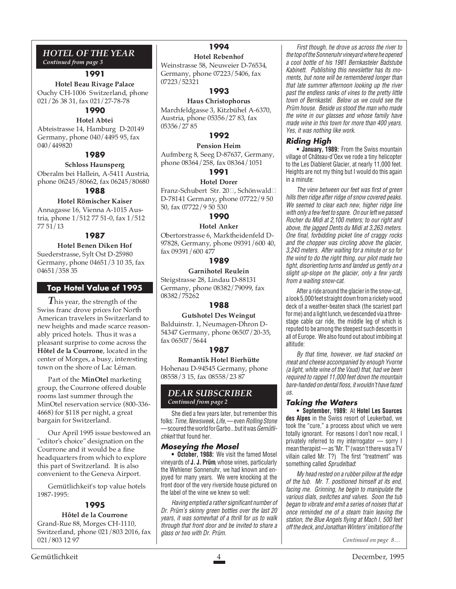#### *HOTEL OF THE YEAR Continued from page 3*

#### **1991**

**Hotel Beau Rivage Palace** Ouchy CH-1006 Switzerland, phone 021/26 38 31, fax 021/27-78-78

## **1990**

**Hotel Abtei** Abteistrasse 14, Hamburg D-20149 Germany, phone 040/4495 95, fax 040/449820

## **1989**

#### **Schloss Haunsperg**

Oberalm bei Hallein, A-5411 Austria, phone 06245/80662, fax 06245/80680

#### **1988**

#### **Hotel Römischer Kaiser**

Annagasse 16, Vienna A-1015 Austria, phone 1/512 77 51-0, fax 1/512 77 51/13

#### **1987**

**Hotel Benen Diken Hof** Suederstrasse, Sylt Ost D-25980 Germany, phone 04651/3 10 35, fax 04651/358 35

#### **Top Hotel Value of 1995**

*T* his year, the strength of the Swiss franc drove prices for North American travelers in Switzerland to new heights and made scarce reasonably priced hotels. Thus it was a pleasant surprise to come across the **Hôtel de la Courrone**, located in the center of Morges, a busy, interesting town on the shore of Lac Léman.

Part of the **MinOtel** marketing group, the Courrone offered double rooms last summer through the MinOtel reservation service (800-336- 4668) for \$118 per night, a great bargain for Switzerland.

Our April 1995 issue bestowed an "editor's choice" designation on the Courrone and it would be a fine headquarters from which to explore this part of Switzerland. It is also convenient to the Geneva Airport.

Gemütlichkeit's top value hotels 1987-1995:

## **1995**

#### **Hôtel de la Courrone**

Grand-Rue 88, Morges CH-1110, Switzerland, phone 021/803 2016, fax 021/803 12 97

## **1994**

**Hotel Rebenhof**

Weinstrasse 58, Neuweier D-76534, Germany, phone 07223/5406, fax 07223/52321

#### **1993**

**Haus Christophorus** Marchfeldgasse 3, Kitzbühel A-6370, Austria, phone 05356/27 83, fax 05356/27 85

#### **1992**

#### **Pension Heim**

Aufmberg 8, Seeg D-87637, Germany, phone 08364/258, fax 08364/1051

## **1991**

**Hotel Dorer** Franz-Schubert Str. 20□, Schönwald□ D-78141 Germany, phone 07722/9 50 50, fax 07722/9 50 530

#### **1990**

#### **Hotel Anker**

Obertorstrasse 6, Marktheidenfeld D-97828, Germany, phone 09391/600 40, fax 09391/600 477

#### **1989**

**Garnihotel Reulein** Steigstrasse 28, Lindau D-88131

Germany, phone 08382/79099, fax 08382/75262

#### **1988**

#### **Gutshotel Des Weingut**

Balduinstr. 1, Neumagen-Dhron D-54347 Germany, phone 06507/20-35, fax 06507/5644

#### **1987**

**Romantik Hotel Bierhütte** Hohenau D-94545 Germany, phone 08558/3 15, fax 08558/23 87

#### *DEAR SUBSCRIBER Continued from page 2*

She died a few years later, but remember this folks: Time, Newsweek, Life, — even Rolling Stone — scoured the world for Garbo...but it was Gemütlichkeit that found her.

#### **Moseying the Mosel**

**• October, 1988:** We visit the famed Mosel vineyards of **J. J. Prüm**, whose wines, particularly the Wehlener Sonnenuhr, we had known and enjoyed for many years. We were knocking at the front door of the very riverside house pictured on the label of the wine we knew so well:

Having emptied a rather significant number of Dr. Prüm's skinny green bottles over the last 20 years, it was somewhat of a thrill for us to walk through that front door and be invited to share a glass or two with Dr. Prüm.

First though, he drove us across the river to the top of the Sonnenuhr vineyard where he opened a cool bottle of his 1981 Bernkasteler Badstube Kabinett. Publishing this newsletter has its moments, but none will be remembered longer than that late summer afternoon looking up the river past the endless ranks of vines to the pretty little town of Bernkastel. Below us we could see the Prüm house. Beside us stood the man who made the wine in our glasses and whose family have made wine in this town for more than 400 years. Yes, it was nothing like work.

## **Riding High**

**• January, 1989:** From the Swiss mountain village of Château-d'Oex we rode a tiny helicopter to the Les Diableret Glacier, at nearly 11,000 feet. Heights are not my thing but I would do this again in a minute:

The view between our feet was first of green hills then ridge after ridge of snow covered peaks. We seemed to clear each new, higher ridge line with only a few feet to spare. On our left we passed Rocher du Midi at 2,100 meters; to our right and above, the jagged Dents du Midi at 3,263 meters. One final, forbidding picket line of craggy rocks and the chopper was circling above the glacier, 3,243 meters. After waiting for a minute or so for the wind to do the right thing, our pilot made two tight, disorienting turns and landed us gently on a slight up-slope on the glacier, only a few yards from a waiting snow-cat.

After a ride around the glacier in the snow-cat, a look 5,000 feet straight down from a rickety wood deck of a weather-beaten shack (the scariest part for me) and a light lunch, we descended via a threestage cable car ride, the middle leg of which is reputed to be among the steepest such descents in all of Europe. We also found out about imbibing at altitude:

By that time, however, we had snacked on meat and cheese accompanied by enough Yvorne (a light, white wine of the Vaud) that, had we been required to rappel 11,000 feet down the mountain bare-handed on dental floss, it wouldn't have fazed  $\overline{U}$ 

## **Taking the Waters**

**• September, 1989:** At **Hotel Les Sources des Alpes** in the Swiss resort of Leukerbad, we took the "cure," a process about which we were totally ignorant. For reasons I don't now recall, I privately referred to my interrogator — sorry I mean therapist — as "Mr. T" (wasn't there was a TV villain called Mr. T?) The first "treatment" was something called Sprudelbad:

My head rested on a rubber pillow at the edge of the tub. Mr. T. positioned himself at its end, facing me. Grinning, he begin to manipulate the various dials, switches and valves. Soon the tub began to vibrate and emit a series of noises that at once reminded me of a steam train leaving the station, the Blue Angels flying at Mach I, 500 feet off the deck, and Jonathan Winters' imitation of the

*Continued on page 8…*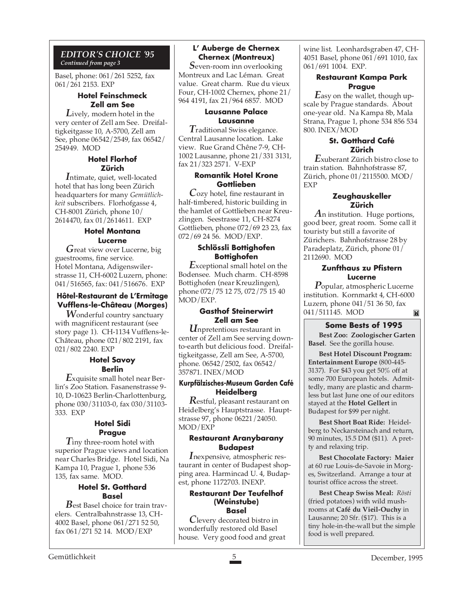#### *EDITOR'S CHOICE '95 Continued from page 3*

Basel, phone: 061/261 5252, fax 061/261 2153. EXP

#### **Hotel Feinschmeck Zell am See**

*L*ively, modern hotel in the very center of Zell am See. Dreifaltigkeitgasse 10, A-5700, Zell am See, phone 06542/2549, fax 06542/ 254949. MOD

#### **Hotel Florhof Zürich**

*I*ntimate, quiet, well-located hotel that has long been Zürich headquarters for many *Gemütlichkeit* subscribers. Florhofgasse 4, CH-8001 Zürich, phone 10/ 2614470, fax 01/2614611. EXP

## **Hotel Montana Lucerne**

*G*reat view over Lucerne, big guestrooms, fine service. Hotel Montana, Adigenswilerstrasse 11, CH-6002 Luzern, phone: 041/516565, fax: 041/516676. EXP

#### **Hôtel-Restaurant de L'Ermitage Vufflens-le-Château (Morges)**

*W*onderful country sanctuary with magnificent restaurant (see story page 1). CH-1134 Vufflens-le-Château, phone 021/802 2191, fax 021/802 2240. EXP

#### **Hotel Savoy Berlin**

*E*xquisite small hotel near Berlin's Zoo Station. Fasanenstrasse 9- 10, D-10623 Berlin-Charlottenburg, phone 030/31103-0, fax 030/31103- 333. EXP

#### **Hotel Sidi Prague**

*T*iny three-room hotel with superior Prague views and location near Charles Bridge. Hotel Sidi, Na Kampa 10, Prague 1, phone 536 135, fax same. MOD.

#### **Hotel St. Gotthard Basel**

*B*est Basel choice for train travelers. Centralbahnstrasse 13, CH-4002 Basel, phone 061/271 52 50, fax 061/271 52 14. MOD/EXP

## **L' Auberge de Chernex Chernex (Montreux)**

*S*even-room inn overlooking Montreux and Lac Léman. Great value. Great charm. Rue du vieux Four, CH-1002 Chernex, phone 21/ 964 4191, fax 21/964 6857. MOD

#### **Lausanne Palace Lausanne**

*T*raditional Swiss elegance. Central Lausanne location. Lake view. Rue Grand Chêne 7-9, CH-1002 Lausanne, phone 21/331 3131, fax 21/323 2571. V-EXP

## **Romantik Hotel Krone Gottlieben**

*C*ozy hotel, fine restaurant in half-timbered, historic building in the hamlet of Gottlieben near Kreuzlingen. Seestrasse 11, CH-8274 Gottlieben, phone 072/69 23 23, fax 072/69 24 56. MOD/EXP.

#### **Schlössli Bottighofen Bottighofen**

*E*xceptional small hotel on the Bodensee. Much charm. CH-8598 Bottighofen (near Kreuzlingen), phone 072/75 12 75, 072/75 15 40 MOD/EXP.

#### **Gasthof Steinerwirt Zell am See**

*U*npretentious restaurant in center of Zell am See serving downto-earth but delicious food. Dreifaltigkeitgasse, Zell am See, A-5700, phone. 06542/2502, fax 06542/ 357871. INEX/MOD

#### **Kurpfälzisches-Museum Garden Café Heidelberg**

*R*estful, pleasant restaurant on Heidelberg's Hauptstrasse. Hauptstrasse 97, phone 06221/24050. MOD/EXP

#### **Restaurant Aranybarany Budapest**

*I*nexpensive, atmospheric restaurant in center of Budapest shopping area. Harmincad U. 4, Budapest, phone 1172703. INEXP.

#### **Restaurant Der Teufelhof (Weinstube) Basel**

*C*levery decorated bistro in wonderfully restored old Basel house. Very good food and great wine list. Leonhardsgraben 47, CH-4051 Basel, phone 061/691 1010, fax 061/691 1004. EXP.

#### **Restaurant Kampa Park Prague**

*E*asy on the wallet, though upscale by Prague standards. About one-year old. Na Kampa 8b, Mala Strana, Prague 1, phone 534 856 534 800. INEX/MOD

#### **St. Gotthard Café Zürich**

*E*xuberant Zürich bistro close to train station. Bahnhofstrasse 87, Zürich, phone 01/2115500. MOD/ EXP

#### **Zeughauskeller Zürich**

*A*n institution. Huge portions, good beer, great room. Some call it touristy but still a favorite of Zürichers. Bahnhofstrasse 28 by Paradeplatz, Zürich, phone 01/ 2112690. MOD

#### **Zunfthaus zu Pfistern Lucerne**

*P*opular, atmospheric Lucerne institution. Kornmarkt 4, CH-6000 Luzern, phone 041/51 36 50, fax 041/511145. MOD M

## **Some Bests of 1995**

**Best Zoo: Zoologischer Garten Basel**. See the gorilla house.

**Best Hotel Discount Program: Entertainment Europe** (800-445- 3137). For \$43 you get 50% off at some 700 European hotels. Admittedly, many are plastic and charmless but last June one of our editors stayed at the **Hotel Gellert** in Budapest for \$99 per night.

**Best Short Boat Ride:** Heidelberg to Neckarsteinach and return, 90 minutes, 15.5 DM (\$11). A pretty and relaxing trip.

**Best Chocolate Factory: Maier** at 60 rue Louis-de-Savoie in Morges, Switzerland. Arrange a tour at tourist office across the street.

**Best Cheap Swiss Meal:** *Rösti* (fried potatoes) with wild mushrooms at **Café du Vieil-Ouchy** in Lausanne; 20 Sfr. (\$17). This is a tiny hole-in-the-wall but the simple food is well prepared.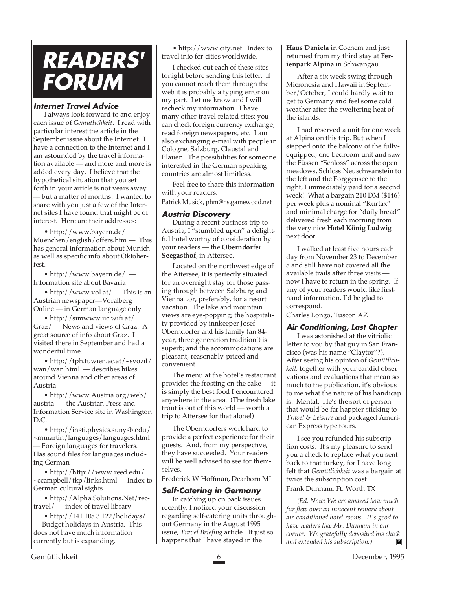## **READERS' FORUM**

#### **Internet Travel Advice**

I always look forward to and enjoy each issue of *Gemütlichkeit*. I read with particular interest the article in the September issue about the Internet. I have a connection to the Internet and I am astounded by the travel information available — and more and more is added every day. I believe that the hypothetical situation that you set forth in your article is not years away — but a matter of months. I wanted to share with you just a few of the Internet sites I have found that might be of interest. Here are their addresses:

• http://www.bayern.de/ Muenchen/english/offers.htm — This has general information about Munich as well as specific info about Oktoberfest.

• http://www.bayern.de/ — Information site about Bavaria

• http://www.vol.at/ — This is an Austrian newspaper—Voralberg Online — in German language only

• http://simwww.iic.wifi.at/ Graz/ — News and views of Graz. A great source of info about Graz. I visited there in September and had a wonderful time.

• http://tph.tuwien.ac.at/~svozil/ wan/wan.html — describes hikes around Vienna and other areas of Austria

• http://www.Austria.org/web/ austria — the Austrian Press and Information Service site in Washington D.C.

• http://insti.physics.sunysb.edu/ ~mmartin/languages/languages.html — Foreign languages for travelers. Has sound files for languages including German

• http://http://www.reed.edu/ ~ccampbell/tkp/links.html — Index to German cultural sights

• http://Alpha.Solutions.Net/rectravel/ — index of travel library

• http://141.108.3.122/holidays/ — Budget holidays in Austria. This does not have much information currently but is expanding.

• http://www.city.net Index to travel info for cities worldwide.

I checked out each of these sites tonight before sending this letter. If you cannot reach them through the web it is probably a typing error on my part. Let me know and I will recheck my information. I have many other travel related sites; you can check foreign currency exchange, read foreign newspapers, etc. I am also exchanging e-mail with people in Cologne, Salzburg, Claustal and Plauen. The possibilities for someone interested in the German-speaking countries are almost limitless.

Feel free to share this information with your readers.

Patrick Musick, phm@ns.gamewood.net

#### **Austria Discovery**

During a recent business trip to Austria, I "stumbled upon" a delightful hotel worthy of consideration by your readers — the **Oberndorfer Seegasthof**, in Attersee.

Located on the northwest edge of the Attersee, it is perfectly situated for an overnight stay for those passing through between Salzburg and Vienna...or, preferably, for a resort vacation. The lake and mountain views are eye-popping; the hospitality provided by innkeeper Josef Oberndorfer and his family (an 84 year, three generation tradition!) is superb; and the accommodations are pleasant, reasonably-priced and convenient.

The menu at the hotel's restaurant provides the frosting on the cake — it is simply the best food I encountered anywhere in the area. (The fresh lake trout is out of this world — worth a trip to Attersee for that alone!)

The Oberndorfers work hard to provide a perfect experience for their guests. And, from my perspective, they have succeeded. Your readers will be well advised to see for themselves.

Frederick W Hoffman, Dearborn MI

#### **Self-Catering in Germany**

In catching up on back issues recently, I noticed your discussion regarding self-catering units throughout Germany in the August 1995 issue, *Travel Briefing* article. It just so happens that I have stayed in the

**Haus Daniela** in Cochem and just returned from my third stay at **Ferienpark Alpina** in Schwangau.

After a six week swing through Micronesia and Hawaii in September/October, I could hardly wait to get to Germany and feel some cold weather after the sweltering heat of the islands.

I had reserved a unit for one week at Alpina on this trip. But when I stepped onto the balcony of the fullyequipped, one-bedroom unit and saw the Füssen "Schloss" across the open meadows, Schloss Neuschwanstein to the left and the Forggensee to the right, I immediately paid for a second week! What a bargain 210 DM (\$146) per week plus a nominal "Kurtax" and minimal charge for "daily bread" delivered fresh each morning from the very nice **Hotel König Ludwig** next door.

I walked at least five hours each day from November 23 to December 8 and still have not covered all the available trails after three visits now I have to return in the spring. If any of your readers would like firsthand information, I'd be glad to correspond.

Charles Longo, Tuscon AZ

#### **Air Conditioning, Last Chapter**

I was astonished at the vitriolic letter to you by that guy in San Francisco (was his name "Claytor"?). After seeing his opinion of *Gemütlichkeit*, together with your candid observations and evaluations that mean so much to the publication, it's obvious to me what the nature of his handicap is. Mental. He's the sort of person that would be far happier sticking to *Travel & Leisure* and packaged American Express type tours.

I see you refunded his subscription costs. It's my pleasure to send you a check to replace what you sent back to that turkey, for I have long felt that *Gemütlichkeit* was a bargain at twice the subscription cost. Frank Dunham, Ft. Worth TX

*(Ed. Note: We are amazed how much fur flew over an innocent remark about air-conditioned hotel rooms. It's good to have readers like Mr. Dunham in our corner. We gratefully deposited his check and extended his subscription.)*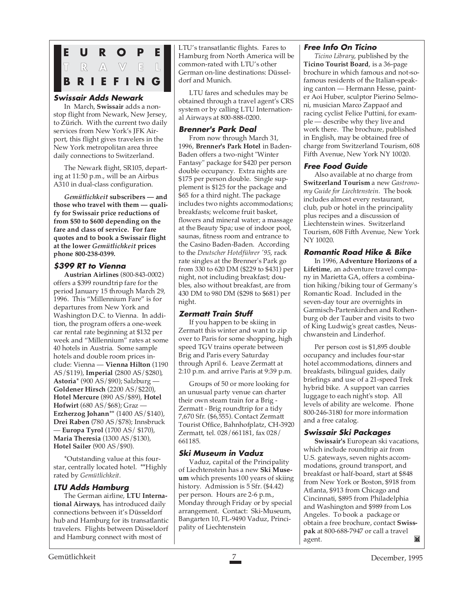

#### **Swissair Adds Newark**

In March, **Swissair** adds a nonstop flight from Newark, New Jersey, to Zürich. With the current two daily services from New York's JFK Airport, this flight gives travelers in the New York metropolitan area three daily connections to Switzerland.

The Newark flight, SR105, departing at 11:50 p.m., will be an Airbus A310 in dual-class configuration.

*Gemütlichkeit* **subscribers — and those who travel with them — qualify for Swissair price reductions of from \$50 to \$600 depending on the fare and class of service. For fare quotes and to book a Swissair flight at the lower** *Gemütlichkeit* **prices phone 800-238-0399.**

## **\$399 RT to Vienna**

**Austrian Airlines** (800-843-0002) offers a \$399 roundtrip fare for the period January 15 through March 29, 1996. This "Millennium Fare" is for departures from New York and Washington D.C. to Vienna. In addition, the program offers a one-week car rental rate beginning at \$132 per week and "Millennium" rates at some 40 hotels in Austria. Some sample hotels and double room prices include: Vienna — **Vienna Hilton** (1190 AS/\$119), **Imperial** (2800 AS/\$280), **Astoria**\* (900 AS/\$90); Salzburg — **Goldener Hirsch** (2200 AS/\$220), **Hotel Mercure** (890 AS/\$89), **Hotel Hofwirt** (680 AS/\$68); Graz — **Erzherzog Johann**\*\* (1400 AS/\$140), **Drei Raben** (780 AS/\$78); Innsbruck — **Europa Tyrol** (1700 AS/ \$170), **Maria Theresia** (1300 AS/\$130), **Hotel Sailer** (900 AS/\$90).

\*Outstanding value at this fourstar, centrally located hotel. \*\*Highly rated by *Gemütlichkeit*.

## **LTU Adds Hamburg**

The German airline, **LTU International Airways**, has introduced daily connections between it's Düsseldorf hub and Hamburg for its transatlantic travelers. Flights between Düsseldorf and Hamburg connect with most of

LTU's transatlantic flights. Fares to Hamburg from North America will be common-rated with LTU's other German on-line destinations: Düsseldorf and Munich.

LTU fares and schedules may be obtained through a travel agent's CRS system or by calling LTU International Airways at 800-888-0200.

#### **Brenner's Park Deal**

From now through March 31, 1996, **Brenner's Park Hotel** in Baden-Baden offers a two-night "Winter Fantasy" package for \$420 per person double occupancy. Extra nights are \$175 per person double. Single supplement is \$125 for the package and \$65 for a third night. The package includes two nights accommodations; breakfasts; welcome fruit basket, flowers and mineral water; a massage at the Beauty Spa; use of indoor pool, saunas, fitness room and entrance to the Casino Baden-Baden. According to the *Deutscher Hotelführer '95*, rack rate singles at the Brenner's Park go from 330 to 620 DM (\$229 to \$431) per night, not including breakfast; doubles, also without breakfast, are from 430 DM to 980 DM (\$298 to \$681) per night.

## **Zermatt Train Stuff**

If you happen to be skiing in Zermatt this winter and want to zip over to Paris for some shopping, high speed TGV trains operate between Brig and Paris every Saturday through April 6. Leave Zermatt at 2:10 p.m. and arrive Paris at 9:39 p.m.

Groups of 50 or more looking for an unusual party venue can charter their own steam train for a Brig - Zermatt - Brig roundtrip for a tidy 7,670 Sfr. (\$6,555). Contact Zermatt Tourist Office, Bahnhofplatz, CH-3920 Zermatt, tel. 028/661181, fax 028/ 661185.

## **Ski Museum in Vaduz**

Vaduz, capital of the Principality of Liechtenstein has a new **Ski Museum** which presents 100 years of skiing history. Admission is 5 Sfr. (\$4.42) per person. Hours are 2-6 p.m., Monday through Friday or by special arrangement. Contact: Ski-Museum, Bangarten 10, FL-9490 Vaduz, Principality of Liechtenstein

## **Free Info On Ticino**

*Ticino Library*, published by the **Ticino Tourist Board**, is a 36-page brochure in which famous and not-sofamous residents of the Italian-speaking canton — Hermann Hesse, painter Aoi Huber, sculptor Pierino Selmoni, musician Marco Zappaof and racing cyclist Felice Puttini, for example — describe why they live and work there. The brochure, published in English, may be obtained free of charge from Switzerland Tourism, 608 Fifth Avenue, New York NY 10020.

## **Free Food Guide**

Also available at no charge from **Switzerland Tourism** a new *Gastronomy Guide for Liechtenstein.* The book includes almost every restaurant, club, pub or hotel in the principality plus recipes and a discussion of Liechtenstein wines. Switzerland Tourism, 608 Fifth Avenue, New York NY 10020.

## **Romantic Road Hike & Bike**

In 1996, **Adventure Horizons of a Lifetime**, an adventure travel company in Marietta GA, offers a combination hiking/biking tour of Germany's Romantic Road. Included in the seven-day tour are overnights in Garmisch-Partenkirchen and Rothenburg ob der Tauber and visits to two of King Ludwig's great castles, Neuschwanstein and Linderhof.

Per person cost is \$1,895 double occupancy and includes four-star hotel accommodations, dinners and breakfasts, bilingual guides, daily briefings and use of a 21-speed Trek hybrid bike. A support van carries luggage to each night's stop. All levels of ability are welcome. Phone 800-246-3180 for more information and a free catalog.

#### **Swissair Ski Packages**

**Swissair's** European ski vacations, which include roundtrip air from U.S. gateways, seven nights accommodations, ground transport, and breakfast or half-board, start at \$848 from New York or Boston, \$918 from Atlanta, \$913 from Chicago and Cincinnati, \$895 from Philadelphia and Washington and \$989 from Los Angeles. To book a package or obtain a free brochure, contact **Swisspak** at 800-688-7947 or call a travel Ħ agent.